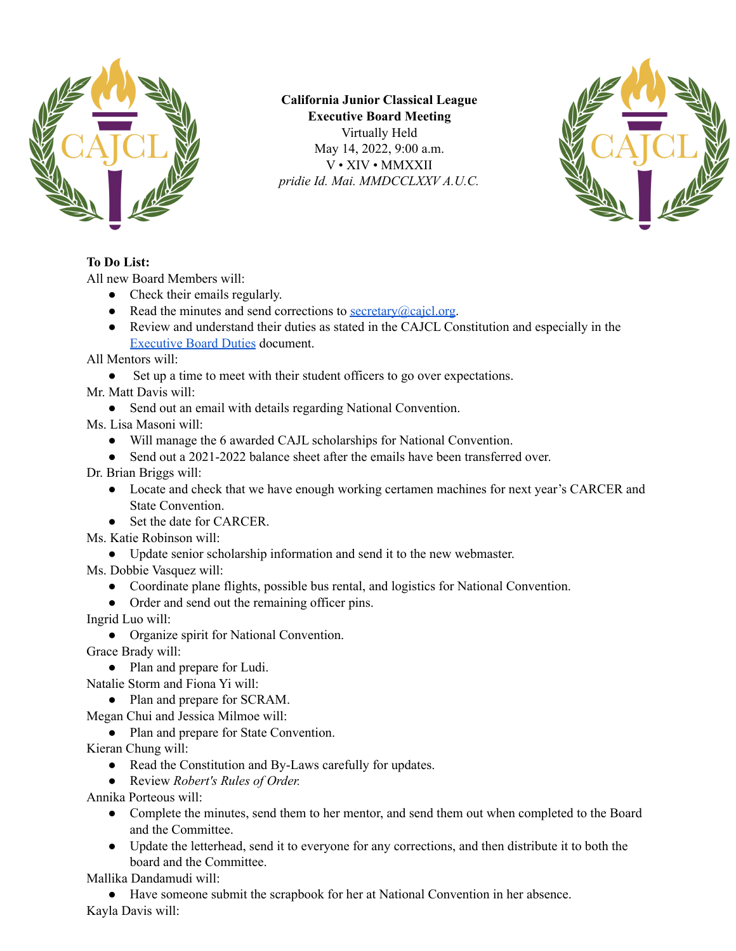

**California Junior Classical League Executive Board Meeting** Virtually Held May 14, 2022, 9:00 a.m. V • XIV • MMXXII *pridie Id. Mai. MMDCCLXXV A.U.C.*



## **To Do List:**

All new Board Members will:

- Check their emails regularly.
- Read the minutes and send corrections to <u>[secretary@cajcl.org](mailto:secretary@cajcl.org)</u>.
- Review and understand their duties as stated in the CAJCL Constitution and especially in the [Executive](https://docs.google.com/document/d/1aMyJo3UkHqxrn65ttgJ4EX8OfCw3eGtm/edit?usp=sharing&ouid=103294759542562009956&rtpof=true&sd=true) Board Duties document.

All Mentors will:

• Set up a time to meet with their student officers to go over expectations.

Mr. Matt Davis will:

• Send out an email with details regarding National Convention.

Ms. Lisa Masoni will:

- Will manage the 6 awarded CAJL scholarships for National Convention.
- Send out a 2021-2022 balance sheet after the emails have been transferred over.

Dr. Brian Briggs will:

- Locate and check that we have enough working certamen machines for next year's CARCER and State Convention.
- Set the date for CARCER.
- Ms. Katie Robinson will:
	- Update senior scholarship information and send it to the new webmaster.

Ms. Dobbie Vasquez will:

- Coordinate plane flights, possible bus rental, and logistics for National Convention.
- Order and send out the remaining officer pins.

Ingrid Luo will:

● Organize spirit for National Convention.

Grace Brady will:

● Plan and prepare for Ludi.

Natalie Storm and Fiona Yi will:

• Plan and prepare for SCRAM.

Megan Chui and Jessica Milmoe will:

● Plan and prepare for State Convention.

Kieran Chung will:

- Read the Constitution and By-Laws carefully for updates.
- Review *Robert's Rules of Order.*

Annika Porteous will:

- Complete the minutes, send them to her mentor, and send them out when completed to the Board and the Committee.
- Update the letterhead, send it to everyone for any corrections, and then distribute it to both the board and the Committee.

Mallika Dandamudi will:

● Have someone submit the scrapbook for her at National Convention in her absence. Kayla Davis will: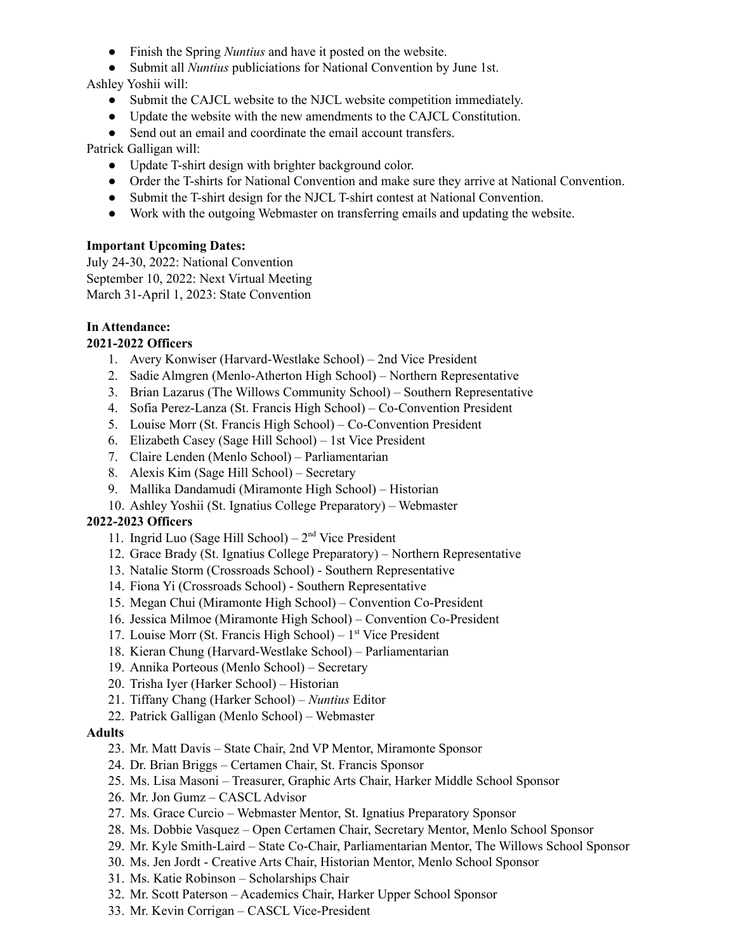- Finish the Spring *Nuntius* and have it posted on the website.
- Submit all *Nuntius* publiciations for National Convention by June 1st.

Ashley Yoshii will:

- Submit the CAJCL website to the NJCL website competition immediately.
- Update the website with the new amendments to the CAJCL Constitution.
- Send out an email and coordinate the email account transfers.

Patrick Galligan will:

- Update T-shirt design with brighter background color.
- Order the T-shirts for National Convention and make sure they arrive at National Convention.
- Submit the T-shirt design for the NJCL T-shirt contest at National Convention.
- Work with the outgoing Webmaster on transferring emails and updating the website.

### **Important Upcoming Dates:**

July 24-30, 2022: National Convention September 10, 2022: Next Virtual Meeting March 31-April 1, 2023: State Convention

## **In Attendance:**

## **2021-2022 Officers**

- 1. Avery Konwiser (Harvard-Westlake School) 2nd Vice President
- 2. Sadie Almgren (Menlo-Atherton High School) Northern Representative
- 3. Brian Lazarus (The Willows Community School) Southern Representative
- 4. Sofia Perez-Lanza (St. Francis High School) Co-Convention President
- 5. Louise Morr (St. Francis High School) Co-Convention President
- 6. Elizabeth Casey (Sage Hill School) 1st Vice President
- 7. Claire Lenden (Menlo School) Parliamentarian
- 8. Alexis Kim (Sage Hill School) Secretary
- 9. Mallika Dandamudi (Miramonte High School) Historian
- 10. Ashley Yoshii (St. Ignatius College Preparatory) Webmaster

## **2022-2023 Officers**

- 11. Ingrid Luo (Sage Hill School)  $2<sup>nd</sup>$  Vice President
- 12. Grace Brady (St. Ignatius College Preparatory) Northern Representative
- 13. Natalie Storm (Crossroads School) Southern Representative
- 14. Fiona Yi (Crossroads School) Southern Representative
- 15. Megan Chui (Miramonte High School) Convention Co-President
- 16. Jessica Milmoe (Miramonte High School) Convention Co-President
- 17. Louise Morr (St. Francis High School) 1 st Vice President
- 18. Kieran Chung (Harvard-Westlake School) Parliamentarian
- 19. Annika Porteous (Menlo School) Secretary
- 20. Trisha Iyer (Harker School) Historian
- 21. Tiffany Chang (Harker School) *Nuntius* Editor
- 22. Patrick Galligan (Menlo School) Webmaster

### **Adults**

- 23. Mr. Matt Davis State Chair, 2nd VP Mentor, Miramonte Sponsor
- 24. Dr. Brian Briggs Certamen Chair, St. Francis Sponsor
- 25. Ms. Lisa Masoni Treasurer, Graphic Arts Chair, Harker Middle School Sponsor
- 26. Mr. Jon Gumz CASCL Advisor
- 27. Ms. Grace Curcio Webmaster Mentor, St. Ignatius Preparatory Sponsor
- 28. Ms. Dobbie Vasquez Open Certamen Chair, Secretary Mentor, Menlo School Sponsor
- 29. Mr. Kyle Smith-Laird State Co-Chair, Parliamentarian Mentor, The Willows School Sponsor
- 30. Ms. Jen Jordt Creative Arts Chair, Historian Mentor, Menlo School Sponsor
- 31. Ms. Katie Robinson Scholarships Chair
- 32. Mr. Scott Paterson Academics Chair, Harker Upper School Sponsor
- 33. Mr. Kevin Corrigan CASCL Vice-President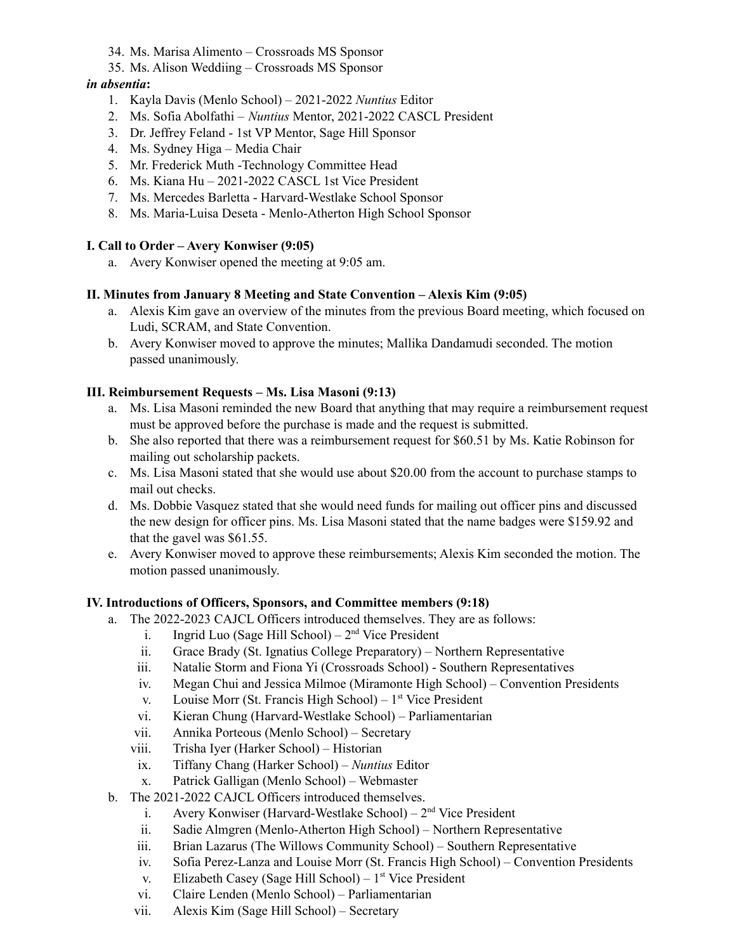- 34. Ms. Marisa Alimento Crossroads MS Sponsor
- 35. Ms. Alison Weddiing Crossroads MS Sponsor

## *in absentia***:**

- 1. Kayla Davis (Menlo School) 2021-2022 *Nuntius* Editor
- 2. Ms. Sofia Abolfathi *Nuntius* Mentor, 2021-2022 CASCL President
- 3. Dr. Jeffrey Feland 1st VP Mentor, Sage Hill Sponsor
- 4. Ms. Sydney Higa Media Chair
- 5. Mr. Frederick Muth -Technology Committee Head
- 6. Ms. Kiana Hu 2021-2022 CASCL 1st Vice President
- 7. Ms. Mercedes Barletta Harvard-Westlake School Sponsor
- 8. Ms. Maria-Luisa Deseta Menlo-Atherton High School Sponsor

### **I. Call to Order – Avery Konwiser (9:05)**

a. Avery Konwiser opened the meeting at 9:05 am.

## **II. Minutes from January 8 Meeting and State Convention – Alexis Kim (9:05)**

- a. Alexis Kim gave an overview of the minutes from the previous Board meeting, which focused on Ludi, SCRAM, and State Convention.
- b. Avery Konwiser moved to approve the minutes; Mallika Dandamudi seconded. The motion passed unanimously.

### **III. Reimbursement Requests – Ms. Lisa Masoni (9:13)**

- a. Ms. Lisa Masoni reminded the new Board that anything that may require a reimbursement request must be approved before the purchase is made and the request is submitted.
- b. She also reported that there was a reimbursement request for \$60.51 by Ms. Katie Robinson for mailing out scholarship packets.
- c. Ms. Lisa Masoni stated that she would use about \$20.00 from the account to purchase stamps to mail out checks.
- d. Ms. Dobbie Vasquez stated that she would need funds for mailing out officer pins and discussed the new design for officer pins. Ms. Lisa Masoni stated that the name badges were \$159.92 and that the gavel was \$61.55.
- e. Avery Konwiser moved to approve these reimbursements; Alexis Kim seconded the motion. The motion passed unanimously.

### **IV. Introductions of Officers, Sponsors, and Committee members (9:18)**

- a. The 2022-2023 CAJCL Officers introduced themselves. They are as follows:
	- i. Ingrid Luo (Sage Hill School)  $2<sup>nd</sup>$  Vice President
	- ii. Grace Brady (St. Ignatius College Preparatory) Northern Representative
	- iii. Natalie Storm and Fiona Yi (Crossroads School) Southern Representatives
	- iv. Megan Chui and Jessica Milmoe (Miramonte High School) Convention Presidents
	- v. Louise Morr (St. Francis High School)  $1<sup>st</sup>$  Vice President
	- vi. Kieran Chung (Harvard-Westlake School) Parliamentarian
	- vii. Annika Porteous (Menlo School) Secretary
	- viii. Trisha Iyer (Harker School) Historian
	- ix. Tiffany Chang (Harker School) *Nuntius* Editor
	- x. Patrick Galligan (Menlo School) Webmaster
- b. The 2021-2022 CAJCL Officers introduced themselves.
	- i. Avery Konwiser (Harvard-Westlake School)  $2<sup>nd</sup>$  Vice President
	- ii. Sadie Almgren (Menlo-Atherton High School) Northern Representative
	- iii. Brian Lazarus (The Willows Community School) Southern Representative
	- iv. Sofia Perez-Lanza and Louise Morr (St. Francis High School) Convention Presidents
	- v. Elizabeth Casey (Sage Hill School)  $1<sup>st</sup>$  Vice President
	- vi. Claire Lenden (Menlo School) Parliamentarian
	- vii. Alexis Kim (Sage Hill School) Secretary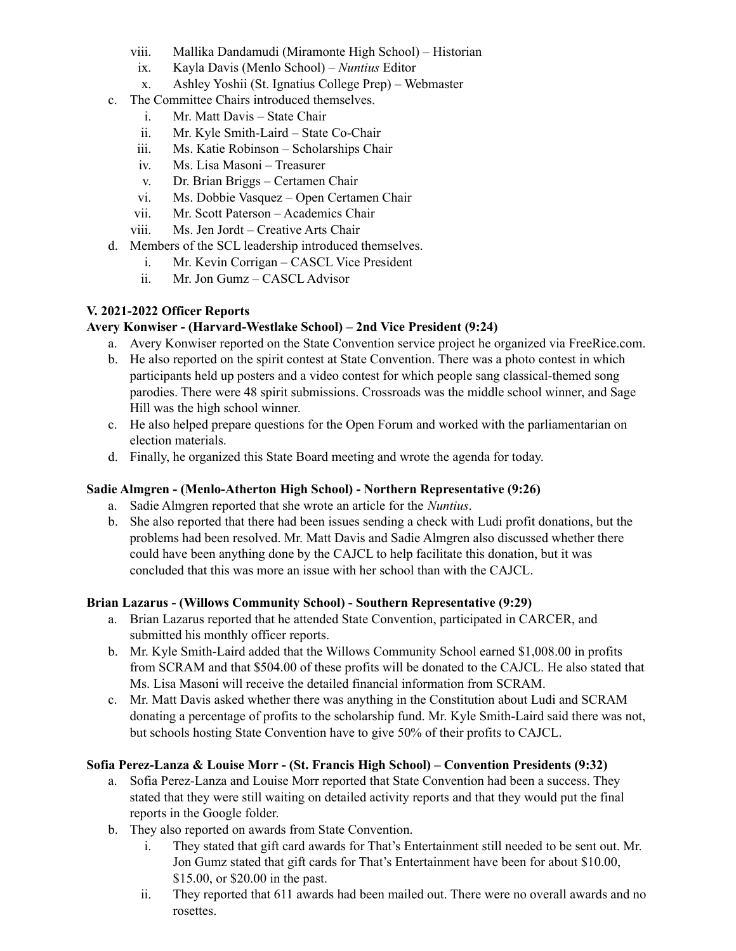- viii. Mallika Dandamudi (Miramonte High School) Historian
- ix. Kayla Davis (Menlo School) *Nuntius* Editor
- x. Ashley Yoshii (St. Ignatius College Prep) Webmaster
- c. The Committee Chairs introduced themselves.
	- i. Mr. Matt Davis State Chair
	- ii. Mr. Kyle Smith-Laird State Co-Chair
	- iii. Ms. Katie Robinson Scholarships Chair
	- iv. Ms. Lisa Masoni Treasurer
	- v. Dr. Brian Briggs Certamen Chair
	- vi. Ms. Dobbie Vasquez Open Certamen Chair
	- vii. Mr. Scott Paterson Academics Chair
	- viii. Ms. Jen Jordt Creative Arts Chair
- d. Members of the SCL leadership introduced themselves.
	- i. Mr. Kevin Corrigan CASCL Vice President
	- ii. Mr. Jon Gumz CASCL Advisor

## **V. 2021-2022 Officer Reports**

### **Avery Konwiser - (Harvard-Westlake School) – 2nd Vice President (9:24)**

- a. Avery Konwiser reported on the State Convention service project he organized via FreeRice.com.
- b. He also reported on the spirit contest at State Convention. There was a photo contest in which participants held up posters and a video contest for which people sang classical-themed song parodies. There were 48 spirit submissions. Crossroads was the middle school winner, and Sage Hill was the high school winner.
- c. He also helped prepare questions for the Open Forum and worked with the parliamentarian on election materials.
- d. Finally, he organized this State Board meeting and wrote the agenda for today.

### **Sadie Almgren - (Menlo-Atherton High School) - Northern Representative (9:26)**

- a. Sadie Almgren reported that she wrote an article for the *Nuntius*.
- b. She also reported that there had been issues sending a check with Ludi profit donations, but the problems had been resolved. Mr. Matt Davis and Sadie Almgren also discussed whether there could have been anything done by the CAJCL to help facilitate this donation, but it was concluded that this was more an issue with her school than with the CAJCL.

### **Brian Lazarus - (Willows Community School) - Southern Representative (9:29)**

- a. Brian Lazarus reported that he attended State Convention, participated in CARCER, and submitted his monthly officer reports.
- b. Mr. Kyle Smith-Laird added that the Willows Community School earned \$1,008.00 in profits from SCRAM and that \$504.00 of these profits will be donated to the CAJCL. He also stated that Ms. Lisa Masoni will receive the detailed financial information from SCRAM.
- c. Mr. Matt Davis asked whether there was anything in the Constitution about Ludi and SCRAM donating a percentage of profits to the scholarship fund. Mr. Kyle Smith-Laird said there was not, but schools hosting State Convention have to give 50% of their profits to CAJCL.

### **Sofia Perez-Lanza & Louise Morr - (St. Francis High School) – Convention Presidents (9:32)**

- a. Sofia Perez-Lanza and Louise Morr reported that State Convention had been a success. They stated that they were still waiting on detailed activity reports and that they would put the final reports in the Google folder.
- b. They also reported on awards from State Convention.
	- i. They stated that gift card awards for That's Entertainment still needed to be sent out. Mr. Jon Gumz stated that gift cards for That's Entertainment have been for about \$10.00, \$15.00, or \$20.00 in the past.
	- ii. They reported that 611 awards had been mailed out. There were no overall awards and no rosettes.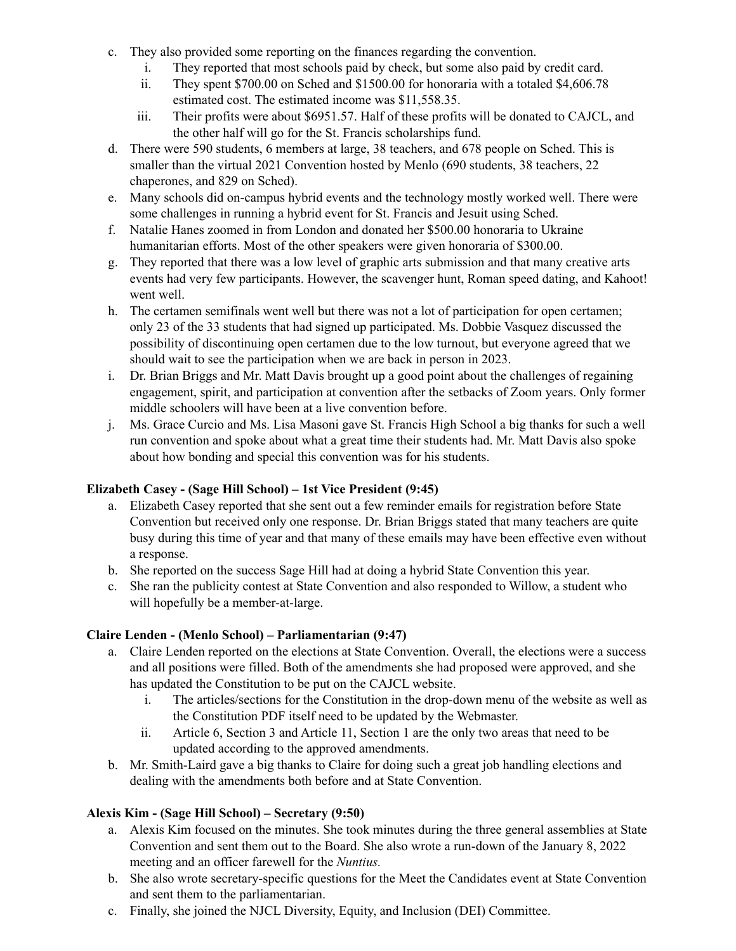- c. They also provided some reporting on the finances regarding the convention.
	- i. They reported that most schools paid by check, but some also paid by credit card.
	- ii. They spent \$700.00 on Sched and \$1500.00 for honoraria with a totaled \$4,606.78 estimated cost. The estimated income was \$11,558.35.
	- iii. Their profits were about \$6951.57. Half of these profits will be donated to CAJCL, and the other half will go for the St. Francis scholarships fund.
- d. There were 590 students, 6 members at large, 38 teachers, and 678 people on Sched. This is smaller than the virtual 2021 Convention hosted by Menlo (690 students, 38 teachers, 22 chaperones, and 829 on Sched).
- e. Many schools did on-campus hybrid events and the technology mostly worked well. There were some challenges in running a hybrid event for St. Francis and Jesuit using Sched.
- f. Natalie Hanes zoomed in from London and donated her \$500.00 honoraria to Ukraine humanitarian efforts. Most of the other speakers were given honoraria of \$300.00.
- g. They reported that there was a low level of graphic arts submission and that many creative arts events had very few participants. However, the scavenger hunt, Roman speed dating, and Kahoot! went well.
- h. The certamen semifinals went well but there was not a lot of participation for open certamen; only 23 of the 33 students that had signed up participated. Ms. Dobbie Vasquez discussed the possibility of discontinuing open certamen due to the low turnout, but everyone agreed that we should wait to see the participation when we are back in person in 2023.
- i. Dr. Brian Briggs and Mr. Matt Davis brought up a good point about the challenges of regaining engagement, spirit, and participation at convention after the setbacks of Zoom years. Only former middle schoolers will have been at a live convention before.
- j. Ms. Grace Curcio and Ms. Lisa Masoni gave St. Francis High School a big thanks for such a well run convention and spoke about what a great time their students had. Mr. Matt Davis also spoke about how bonding and special this convention was for his students.

## **Elizabeth Casey - (Sage Hill School) – 1st Vice President (9:45)**

- a. Elizabeth Casey reported that she sent out a few reminder emails for registration before State Convention but received only one response. Dr. Brian Briggs stated that many teachers are quite busy during this time of year and that many of these emails may have been effective even without a response.
- b. She reported on the success Sage Hill had at doing a hybrid State Convention this year.
- c. She ran the publicity contest at State Convention and also responded to Willow, a student who will hopefully be a member-at-large.

## **Claire Lenden - (Menlo School) – Parliamentarian (9:47)**

- a. Claire Lenden reported on the elections at State Convention. Overall, the elections were a success and all positions were filled. Both of the amendments she had proposed were approved, and she has updated the Constitution to be put on the CAJCL website.
	- i. The articles/sections for the Constitution in the drop-down menu of the website as well as the Constitution PDF itself need to be updated by the Webmaster.
	- ii. Article 6, Section 3 and Article 11, Section 1 are the only two areas that need to be updated according to the approved amendments.
- b. Mr. Smith-Laird gave a big thanks to Claire for doing such a great job handling elections and dealing with the amendments both before and at State Convention.

## **Alexis Kim - (Sage Hill School) – Secretary (9:50)**

- a. Alexis Kim focused on the minutes. She took minutes during the three general assemblies at State Convention and sent them out to the Board. She also wrote a run-down of the January 8, 2022 meeting and an officer farewell for the *Nuntius.*
- b. She also wrote secretary-specific questions for the Meet the Candidates event at State Convention and sent them to the parliamentarian.
- c. Finally, she joined the NJCL Diversity, Equity, and Inclusion (DEI) Committee.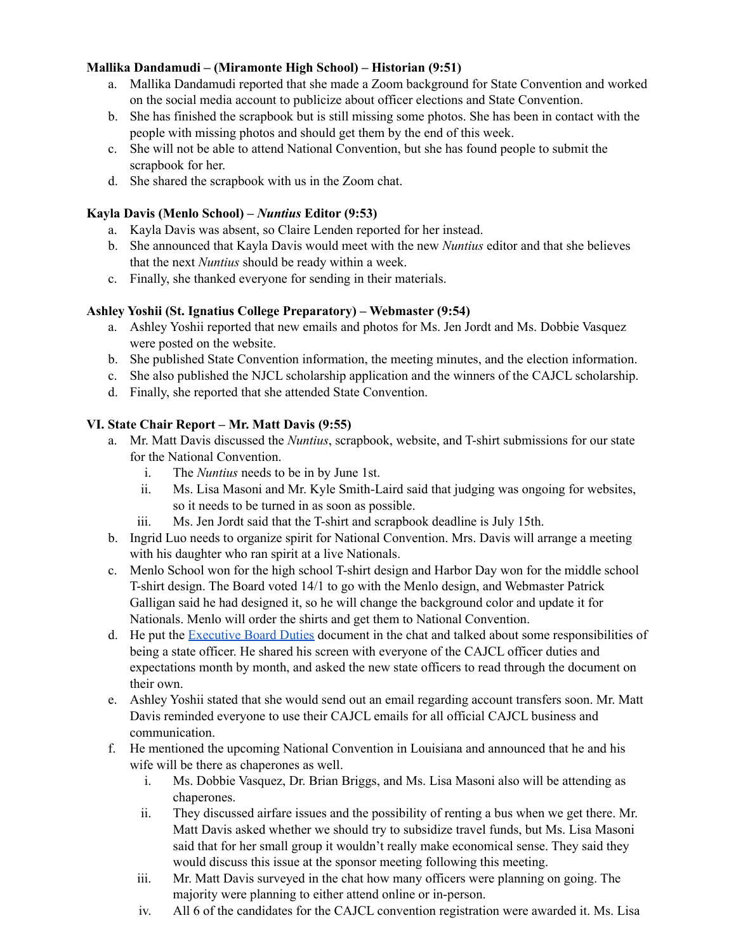### **Mallika Dandamudi – (Miramonte High School) – Historian (9:51)**

- a. Mallika Dandamudi reported that she made a Zoom background for State Convention and worked on the social media account to publicize about officer elections and State Convention.
- b. She has finished the scrapbook but is still missing some photos. She has been in contact with the people with missing photos and should get them by the end of this week.
- c. She will not be able to attend National Convention, but she has found people to submit the scrapbook for her.
- d. She shared the scrapbook with us in the Zoom chat.

#### **Kayla Davis (Menlo School) –** *Nuntius* **Editor (9:53)**

- a. Kayla Davis was absent, so Claire Lenden reported for her instead.
- b. She announced that Kayla Davis would meet with the new *Nuntius* editor and that she believes that the next *Nuntius* should be ready within a week.
- c. Finally, she thanked everyone for sending in their materials.

#### **Ashley Yoshii (St. Ignatius College Preparatory) – Webmaster (9:54)**

- a. Ashley Yoshii reported that new emails and photos for Ms. Jen Jordt and Ms. Dobbie Vasquez were posted on the website.
- b. She published State Convention information, the meeting minutes, and the election information.
- c. She also published the NJCL scholarship application and the winners of the CAJCL scholarship.
- d. Finally, she reported that she attended State Convention.

#### **VI. State Chair Report – Mr. Matt Davis (9:55)**

- a. Mr. Matt Davis discussed the *Nuntius*, scrapbook, website, and T-shirt submissions for our state for the National Convention.
	- i. The *Nuntius* needs to be in by June 1st.
	- ii. Ms. Lisa Masoni and Mr. Kyle Smith-Laird said that judging was ongoing for websites, so it needs to be turned in as soon as possible.
	- iii. Ms. Jen Jordt said that the T-shirt and scrapbook deadline is July 15th.
- b. Ingrid Luo needs to organize spirit for National Convention. Mrs. Davis will arrange a meeting with his daughter who ran spirit at a live Nationals.
- c. Menlo School won for the high school T-shirt design and Harbor Day won for the middle school T-shirt design. The Board voted 14/1 to go with the Menlo design, and Webmaster Patrick Galligan said he had designed it, so he will change the background color and update it for Nationals. Menlo will order the shirts and get them to National Convention.
- d. He put the [Executive](https://docs.google.com/document/d/1aMyJo3UkHqxrn65ttgJ4EX8OfCw3eGtm/edit?usp=sharing&ouid=103294759542562009956&rtpof=true&sd=true) Board Duties document in the chat and talked about some responsibilities of being a state officer. He shared his screen with everyone of the CAJCL officer duties and expectations month by month, and asked the new state officers to read through the document on their own.
- e. Ashley Yoshii stated that she would send out an email regarding account transfers soon. Mr. Matt Davis reminded everyone to use their CAJCL emails for all official CAJCL business and communication.
- f. He mentioned the upcoming National Convention in Louisiana and announced that he and his wife will be there as chaperones as well.
	- i. Ms. Dobbie Vasquez, Dr. Brian Briggs, and Ms. Lisa Masoni also will be attending as chaperones.
	- ii. They discussed airfare issues and the possibility of renting a bus when we get there. Mr. Matt Davis asked whether we should try to subsidize travel funds, but Ms. Lisa Masoni said that for her small group it wouldn't really make economical sense. They said they would discuss this issue at the sponsor meeting following this meeting.
	- iii. Mr. Matt Davis surveyed in the chat how many officers were planning on going. The majority were planning to either attend online or in-person.
	- iv. All 6 of the candidates for the CAJCL convention registration were awarded it. Ms. Lisa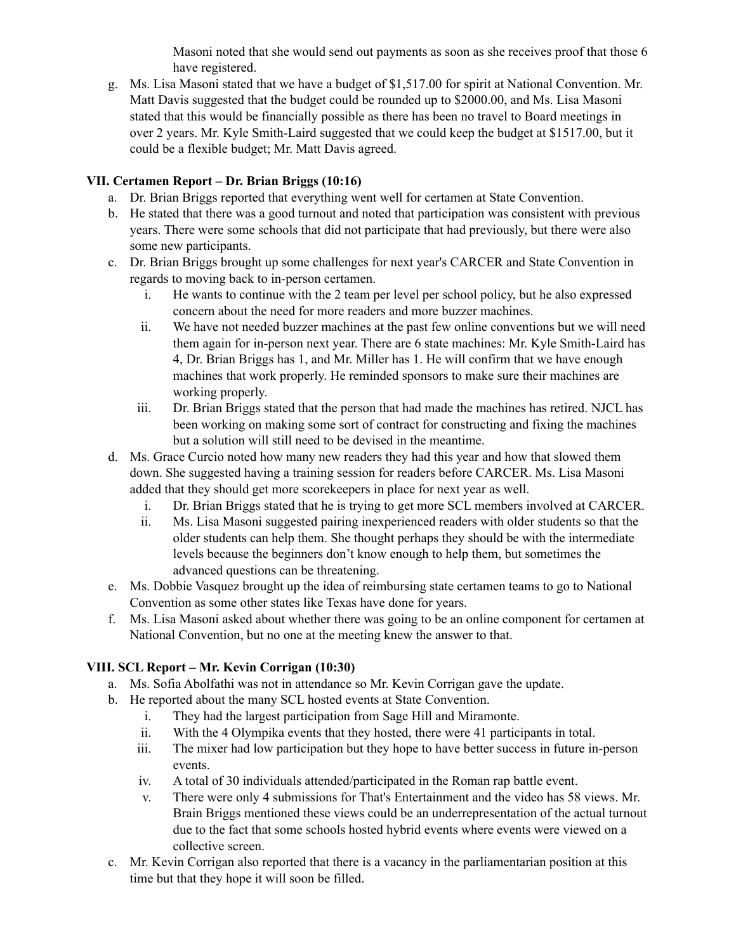Masoni noted that she would send out payments as soon as she receives proof that those 6 have registered.

g. Ms. Lisa Masoni stated that we have a budget of \$1,517.00 for spirit at National Convention. Mr. Matt Davis suggested that the budget could be rounded up to \$2000.00, and Ms. Lisa Masoni stated that this would be financially possible as there has been no travel to Board meetings in over 2 years. Mr. Kyle Smith-Laird suggested that we could keep the budget at \$1517.00, but it could be a flexible budget; Mr. Matt Davis agreed.

## **VII. Certamen Report – Dr. Brian Briggs (10:16)**

- a. Dr. Brian Briggs reported that everything went well for certamen at State Convention.
- b. He stated that there was a good turnout and noted that participation was consistent with previous years. There were some schools that did not participate that had previously, but there were also some new participants.
- c. Dr. Brian Briggs brought up some challenges for next year's CARCER and State Convention in regards to moving back to in-person certamen.
	- i. He wants to continue with the 2 team per level per school policy, but he also expressed concern about the need for more readers and more buzzer machines.
	- ii. We have not needed buzzer machines at the past few online conventions but we will need them again for in-person next year. There are 6 state machines: Mr. Kyle Smith-Laird has 4, Dr. Brian Briggs has 1, and Mr. Miller has 1. He will confirm that we have enough machines that work properly. He reminded sponsors to make sure their machines are working properly.
	- iii. Dr. Brian Briggs stated that the person that had made the machines has retired. NJCL has been working on making some sort of contract for constructing and fixing the machines but a solution will still need to be devised in the meantime.
- d. Ms. Grace Curcio noted how many new readers they had this year and how that slowed them down. She suggested having a training session for readers before CARCER. Ms. Lisa Masoni added that they should get more scorekeepers in place for next year as well.
	- i. Dr. Brian Briggs stated that he is trying to get more SCL members involved at CARCER.
	- ii. Ms. Lisa Masoni suggested pairing inexperienced readers with older students so that the older students can help them. She thought perhaps they should be with the intermediate levels because the beginners don't know enough to help them, but sometimes the advanced questions can be threatening.
- e. Ms. Dobbie Vasquez brought up the idea of reimbursing state certamen teams to go to National Convention as some other states like Texas have done for years.
- f. Ms. Lisa Masoni asked about whether there was going to be an online component for certamen at National Convention, but no one at the meeting knew the answer to that.

# **VIII. SCL Report – Mr. Kevin Corrigan (10:30)**

- a. Ms. Sofia Abolfathi was not in attendance so Mr. Kevin Corrigan gave the update.
- b. He reported about the many SCL hosted events at State Convention.
	- i. They had the largest participation from Sage Hill and Miramonte.
	- ii. With the 4 Olympika events that they hosted, there were 41 participants in total.
	- iii. The mixer had low participation but they hope to have better success in future in-person events.
	- iv. A total of 30 individuals attended/participated in the Roman rap battle event.
	- v. There were only 4 submissions for That's Entertainment and the video has 58 views. Mr. Brain Briggs mentioned these views could be an underrepresentation of the actual turnout due to the fact that some schools hosted hybrid events where events were viewed on a collective screen.
- c. Mr. Kevin Corrigan also reported that there is a vacancy in the parliamentarian position at this time but that they hope it will soon be filled.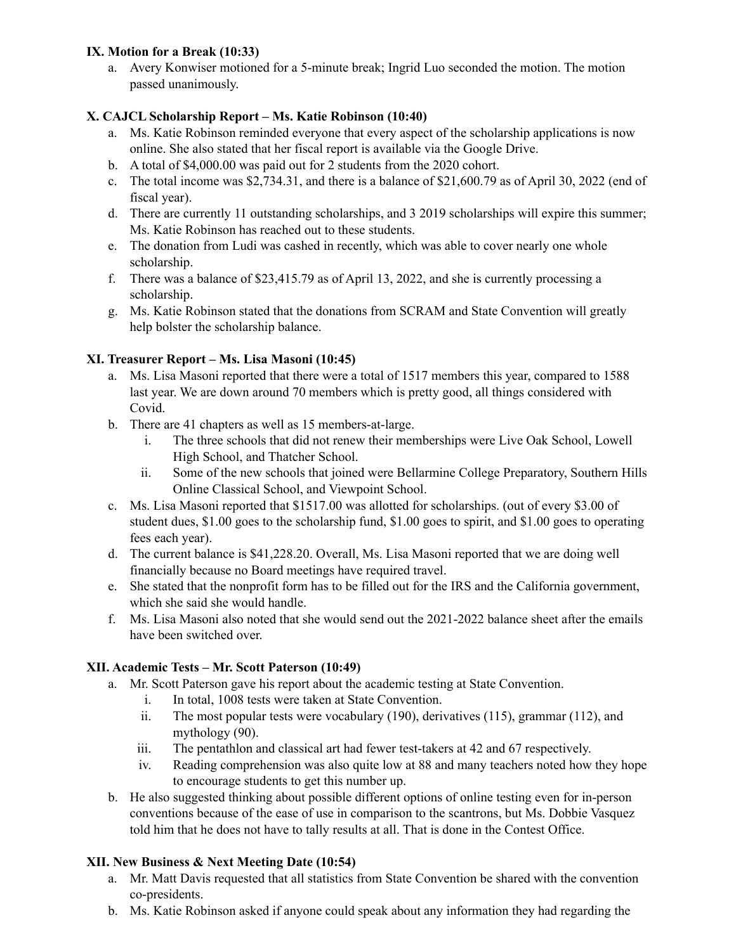### **IX. Motion for a Break (10:33)**

a. Avery Konwiser motioned for a 5-minute break; Ingrid Luo seconded the motion. The motion passed unanimously.

## **X. CAJCL Scholarship Report – Ms. Katie Robinson (10:40)**

- a. Ms. Katie Robinson reminded everyone that every aspect of the scholarship applications is now online. She also stated that her fiscal report is available via the Google Drive.
- b. A total of \$4,000.00 was paid out for 2 students from the 2020 cohort.
- c. The total income was \$2,734.31, and there is a balance of \$21,600.79 as of April 30, 2022 (end of fiscal year).
- d. There are currently 11 outstanding scholarships, and 3 2019 scholarships will expire this summer; Ms. Katie Robinson has reached out to these students.
- e. The donation from Ludi was cashed in recently, which was able to cover nearly one whole scholarship.
- f. There was a balance of \$23,415.79 as of April 13, 2022, and she is currently processing a scholarship.
- g. Ms. Katie Robinson stated that the donations from SCRAM and State Convention will greatly help bolster the scholarship balance.

## **XI. Treasurer Report – Ms. Lisa Masoni (10:45)**

- a. Ms. Lisa Masoni reported that there were a total of 1517 members this year, compared to 1588 last year. We are down around 70 members which is pretty good, all things considered with Covid.
- b. There are 41 chapters as well as 15 members-at-large.
	- i. The three schools that did not renew their memberships were Live Oak School, Lowell High School, and Thatcher School.
	- ii. Some of the new schools that joined were Bellarmine College Preparatory, Southern Hills Online Classical School, and Viewpoint School.
- c. Ms. Lisa Masoni reported that \$1517.00 was allotted for scholarships. (out of every \$3.00 of student dues, \$1.00 goes to the scholarship fund, \$1.00 goes to spirit, and \$1.00 goes to operating fees each year).
- d. The current balance is \$41,228.20. Overall, Ms. Lisa Masoni reported that we are doing well financially because no Board meetings have required travel.
- e. She stated that the nonprofit form has to be filled out for the IRS and the California government, which she said she would handle.
- f. Ms. Lisa Masoni also noted that she would send out the 2021-2022 balance sheet after the emails have been switched over.

### **XII. Academic Tests – Mr. Scott Paterson (10:49)**

- a. Mr. Scott Paterson gave his report about the academic testing at State Convention.
	- i. In total, 1008 tests were taken at State Convention.
	- ii. The most popular tests were vocabulary (190), derivatives (115), grammar (112), and mythology (90).
	- iii. The pentathlon and classical art had fewer test-takers at 42 and 67 respectively.
	- iv. Reading comprehension was also quite low at 88 and many teachers noted how they hope to encourage students to get this number up.
- b. He also suggested thinking about possible different options of online testing even for in-person conventions because of the ease of use in comparison to the scantrons, but Ms. Dobbie Vasquez told him that he does not have to tally results at all. That is done in the Contest Office.

## **XII. New Business & Next Meeting Date (10:54)**

- a. Mr. Matt Davis requested that all statistics from State Convention be shared with the convention co-presidents.
- b. Ms. Katie Robinson asked if anyone could speak about any information they had regarding the